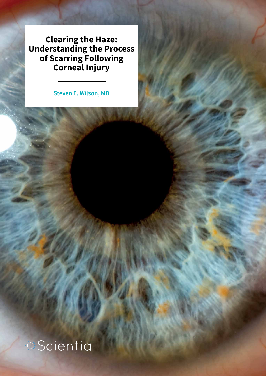**Clearing the Haze: Understanding the Process of Scarring Following Corneal Injury** 

**Steven E. Wilson, MD**

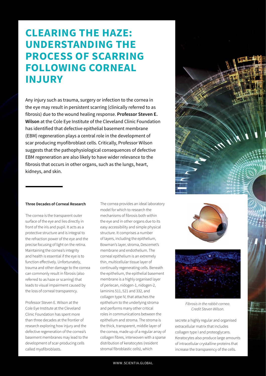# **CLEARING THE HAZE: UNDERSTANDING THE PROCESS OF SCARRING FOLLOWING CORNEAL INJURY**

Any injury such as trauma, surgery or infection to the cornea in the eye may result in persistent scarring (clinically referred to as fibrosis) due to the wound healing response. **Professor Steven E. Wilson** at the Cole Eye Institute of the Cleveland Clinic Foundation has identified that defective epithelial basement membrane (EBM) regeneration plays a central role in the development of scar producing myofibroblast cells. Critically, Professor Wilson suggests that the pathophysiological consequences of defective EBM regeneration are also likely to have wider relevance to the fibrosis that occurs in other organs, such as the lungs, heart, kidneys, and skin.



### **Three Decades of Corneal Research**

The cornea is the transparent outer surface of the eye and lies directly in front of the iris and pupil. It acts as a protective structure and is integral to the refraction power of the eye and the precise focusing of light on the retina. Maintaining the cornea's integrity and health is essential if the eye is to function effectively. Unfortunately, trauma and other damage to the cornea can commonly result in fibrosis (also referred to as haze or scarring) that leads to visual impairment caused by the loss of corneal transparency.

Professor Steven E. Wilson at the Cole Eye Institute at the Cleveland Clinic Foundation has spent more than three decades at the frontier of research exploring how injury and the defective regeneration of the cornea's basement membranes may lead to the development of scar-producing cells called myofibroblasts.

The cornea provides an ideal laboratory model for which to research the mechanisms of fibrosis both within the eye and in other organs due to its easy accessibility and simple physical structure. It comprises a number of layers, including the epithelium, Bowman's layer, stroma, Descemet's membrane and endothelium. The corneal epithelium is an extremely thin, multicellular tissue layer of continually regenerating cells. Beneath the epithelium, the epithelial basement membrane is a highly organised layer of perlecan, nidogen-1, nidogen-2, laminins 511, 521 and 332, and collagen type IV, that attaches the epithelium to the underlying stroma and performs many other critical roles in communications between the epithelium and stroma. The stroma is the thick, transparent, middle layer of the cornea, made up of a regular array of collagen fibres, interwoven with a sparse distribution of keratocytes (resident stromal fibroblastic cells), which





*Fibrosis in the rabbit cornea. Credit Steven Wilson.*

secrete a highly regular and organised extracellular matrix that includes collagen type I and proteoglycans. Keratocytes also produce large amounts of intracellular crystalline proteins that increase the transparency of the cells.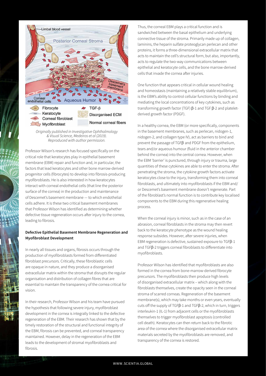

*& Visual Science, Medeiros et al (2019). Reproduced with author permission.*

Professor Wilson's research has focused specifically on the critical role that keratocytes play in epithelial basement membrane (EBM) repair and function and, in particular, the factors that lead keratocytes and other bone marrow-derived progenitor cells (fibrocytes) to develop into fibrosis-producing myofibroblasts. He is also interested in how keratocytes interact with corneal endothelial cells (that line the posterior surface of the cornea) in the production and maintenance of Descemet's basement membrane — to which endothelial cells adhere. It is these two critical basement membranes that Professor Wilson has identified as determining whether defective tissue regeneration occurs after injury to the cornea, leading to fibrosis.

# **Defective Epithelial Basement Membrane Regeneration and Myofibroblast Development**

In nearly all tissues and organs, fibrosis occurs through the production of myofibroblasts formed from differentiated fibroblast precursors. Critically, these fibroblastic cells are opaque in nature, and they produce a disorganised extracellular matrix within the stroma that disrupts the regular organisation and distribution of collagen fibres that are essential to maintain the transparency of the cornea critical for vision.

In their research, Professor Wilson and his team have pursued the hypothesis that following severe injury, myofibroblast development in the cornea is integrally linked to the defective regeneration of the EBM. Their research has shown that by the timely restoration of the structural and functional integrity of the EBM, fibrosis can be prevented, and corneal transparency maintained. However, delay in the regeneration of the EBM leads to the development of stromal myofibroblasts and fibrosis.

Thus, the corneal EBM plays a critical function and is sandwiched between the basal epithelium and underlying connective tissue of the stroma. Primarily made up of collagen, laminins, the heparin sulfate proteoglycan perlecan and other proteins, it forms a three-dimensional extracellular matrix that acts to maintain the cell's structural form, but also, importantly, acts to regulate the two-way communications between epithelial and keratocyte cells, and the bone marrow-derived cells that invade the cornea after injuries.

One function that appears critical in cellular wound healing and homeostasis (maintaining a relatively stable equilibrium), is the EBM's ability to control cellular functions by binding and mediating the local concentrations of key cytokines, such as transforming growth factor (TGF) β-1 and TGF β-2 and plateletderived growth factor (PDGF).

In a healthy cornea, the EBM (or more specifically, components in the basement membranes, such as perlecan, nidogen-1, nidogen-2, and collagen type IV), act as barriers to bind and prevent the passage of TGFβ and PDGF from the epithelium, tears and/or aqueous humour (fluid in the anterior chamber behind the cornea) into the central cornea. However, when the EBM 'barrier' is punctured, through injury or trauma, large quantities of these cytokines are able to enter the stroma. After penetrating the stroma, the cytokine growth factors activate keratocytes close to the injury, transforming them into corneal fibroblasts, and ultimately into myofibroblasts if the EBM and/ or Descemet's basement membrane doesn't regenerate. Part of the fibroblast's normal function is to contribute key localised components to the EBM during this regenerative healing process.

When the corneal injury is minor, such as in the case of an abrasion, corneal fibroblasts in the stroma may then revert back to the keratocyte phenotype as the wound healing response subsides. However, after severe injuries, when EBM regeneration is defective, sustained exposure to TGFβ-1 and TGFβ-2 triggers corneal fibroblasts to differentiate into myofibroblasts.

Professor Wilson has identified that myofibroblasts are also formed in the cornea from bone-marrow-derived fibrocyte precursors. The myofibroblasts then produce high levels of disorganised extracellular matrix – which along with the fibroblasts themselves, create the opacity seen in the corneal stroma of scarred corneas. Regeneration of the basement membrane(s), which may take months or even years, eventually cuts off the supply of TGFβ-1 and TGFβ-2, which in turn, triggers interleukin-1 (IL-1) from adjacent cells or the myofibroblasts themselves to trigger myofibroblast apoptosis (controlled cell death). Keratocytes can then return back to the fibrotic area of the cornea where the disorganised extracellular matrix materials secreted by the myofibroblasts are removed, and transparency of the cornea is restored.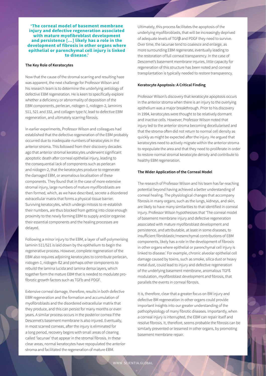**'The corneal model of basement membrane injury and defective regeneration associated with mature myofibroblast development and persistence […] likely has a role in the development of fibrosis in other organs where epithelial or parenchymal cell injury is linked to disease.'**

### **The Key Role of Keratocytes**

Now that the cause of the stromal scarring and resulting haze was apparent, the next challenge for Professor Wilson and his research team is to determine the underlying aetiology of defective EBM regeneration. He is keen to specifically explore whether a deficiency or abnormality of deposition of the EBM components, perlecan, nidogen-1, nidogen-2, laminins 511, 521 and 332, and collagen type IV, lead to defective EBM regeneration, and ultimately scarring fibrosis.

In earlier experiments, Professor Wilson and colleagues had established that the defective regeneration of the EBM probably occurred due to inadequate numbers of keratocytes in the anterior stroma. This followed from their discovery decades ago that anterior stromal keratocytes underwent significant apoptotic death after corneal epithelial injury, leading to the consequential lack of components such as perlecan and nidogen-2, that the keratocytes produce to regenerate the damaged EBM, or anomalous localisation of these components. They found that in the case of more extensive stromal injury, large numbers of mature myofibroblasts are then formed, which, as we have described, secrete a disordered extracellular matrix that forms a physical tissue barrier. Surviving keratocytes, which undergo mitosis to re-establish their numbers, are thus blocked from getting into close enough proximity to the newly forming EBM to supply and/or organise their essential components and the healing processes are delayed.

Following a minor injury to the EBM, a layer of self-polymerising laminin 511/521 is laid down by the epithelium to begin the regenerative process. However, complete regeneration of the EBM also requires adjoining keratocytes to contribute perlecan, nidogen-1, nidogen-ß2 and perhaps other components to rebuild the lamina lucida and lamina densa layers, which together form the mature EBM that is needed to modulate profibrotic growth factors such as TGFb and PDGF.

Extensive corneal damage, therefore, results in both defective EBM regeneration and the formation and accumulation of myofibroblasts and the disordered extracellular matrix that they produce, and this can persist for many months or even years. A similar process occurs in the posterior cornea if the Descemet's basement membrane is also injured. Eventually, in most scarred corneas, after the injury is eliminated for a long period, recovery begins with small areas of clearing called 'lacunae' that appear in the stromal fibrosis. In these clear areas, normal keratocytes have repopulated the anterior stroma and facilitated the regeneration of mature EBM.

Ultimately, this process facilitates the apoptosis of the underlying myofibroblasts, that will be increasingly deprived of adequate levels of TGFβ and PDGF they need to survive. Over time, the lacunae tend to coalesce and enlarge, as more surrounding EBM regenerate, eventually leading to the restoration of full corneal transparency. In the case of Descemet's basement membrane injuries, little capacity for regeneration of this structure has been noted and corneal transplantation is typically needed to restore transparency.

### **Keratocyte Apoptosis: A Critical Finding**

Professor Wilson's discovery that keratocyte apoptosis occurs in the anterior stroma when there is an injury to the overlying epithelium was a major breakthrough. Prior to his discovery in 1994, keratocytes were thought to be relatively dormant and inactive cells. However, Professor Wilson noted that injury led to the anterior stroma becoming decellularised and that the stroma often did not return to normal cell density as quickly as might be expected after the injury. He argued that keratocytes need to actively migrate within the anterior stroma to repopulate the area and that they need to proliferate in order to restore normal stromal keratocyte density and contribute to healthy EBM regeneration.

#### **The Wider Application of the Corneal Model**

The research of Professor Wilson and his team has far-reaching potential beyond having achieved a better understanding of corneal healing. The physiological changes that accompany fibrosis in many organs, such as the lungs, kidneys, and skin, are likely to have many similarities to that identified in corneal injury. Professor Wilson hypothesises that 'The corneal model of basement membrane injury and defective regeneration associated with mature myofibroblast development and persistence, and attributable, at least in some diseases, to insufficient fibroblastic/mesenchymal contributions of EBM components, likely has a role in the development of fibrosis in other organs where epithelial or parenchymal cell injury is linked to disease.' For example, chronic alveolar epithelial cell damage caused by toxins, such as smoke, silica dust or heavy metal dust, could lead to injury and defective regeneration of the underlying basement membrane, anomalous TGFß modulation, myofibroblast development and fibrosis, that parallels the events in corneal fibrosis.

It is, therefore, clear that a greater focus on BM injury and defective BM regeneration in other organs could provide important insights into our greater understanding of the pathophysiology of many fibrotic diseases. Importantly, when a corneal injury is interrupted, the EBM can repair itself and resolve fibrosis. It, therefore, seems probable the fibrosis can be similarly prevented or lessened in other organs, by promoting basement membrane repair.